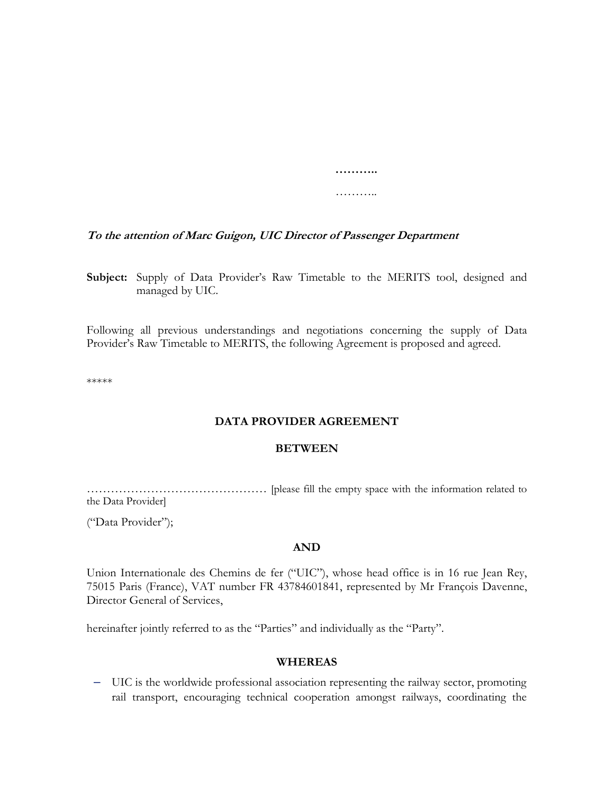**………..** ………..

#### **To the attention of Marc Guigon, UIC Director of Passenger Department**

**Subject:** Supply of Data Provider's Raw Timetable to the MERITS tool, designed and managed by UIC.

Following all previous understandings and negotiations concerning the supply of Data Provider's Raw Timetable to MERITS, the following Agreement is proposed and agreed.

\*\*\*\*\*

### **DATA PROVIDER AGREEMENT**

#### **BETWEEN**

……………………………………… [please fill the empty space with the information related to the Data Provider]

("Data Provider");

#### **AND**

Union Internationale des Chemins de fer ("UIC"), whose head office is in 16 rue Jean Rey, 75015 Paris (France), VAT number FR 43784601841, represented by Mr François Davenne, Director General of Services,

hereinafter jointly referred to as the "Parties" and individually as the "Party".

#### **WHEREAS**

– UIC is the worldwide professional association representing the railway sector, promoting rail transport, encouraging technical cooperation amongst railways, coordinating the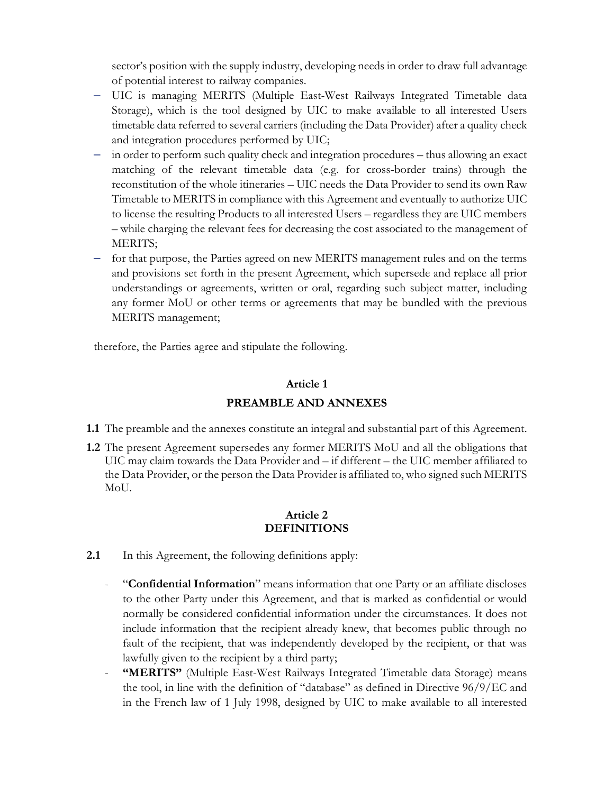sector's position with the supply industry, developing needs in order to draw full advantage of potential interest to railway companies.

- UIC is managing MERITS (Multiple East-West Railways Integrated Timetable data Storage), which is the tool designed by UIC to make available to all interested Users timetable data referred to several carriers (including the Data Provider) after a quality check and integration procedures performed by UIC;
- in order to perform such quality check and integration procedures thus allowing an exact matching of the relevant timetable data (e.g. for cross-border trains) through the reconstitution of the whole itineraries – UIC needs the Data Provider to send its own Raw Timetable to MERITS in compliance with this Agreement and eventually to authorize UIC to license the resulting Products to all interested Users – regardless they are UIC members – while charging the relevant fees for decreasing the cost associated to the management of MERITS;
- for that purpose, the Parties agreed on new MERITS management rules and on the terms and provisions set forth in the present Agreement, which supersede and replace all prior understandings or agreements, written or oral, regarding such subject matter, including any former MoU or other terms or agreements that may be bundled with the previous MERITS management;

therefore, the Parties agree and stipulate the following.

#### **Article 1**

### **PREAMBLE AND ANNEXES**

- **1.1** The preamble and the annexes constitute an integral and substantial part of this Agreement.
- **1.2** The present Agreement supersedes any former MERITS MoU and all the obligations that UIC may claim towards the Data Provider and – if different – the UIC member affiliated to the Data Provider, or the person the Data Provider is affiliated to, who signed such MERITS MoU.

### **Article 2 DEFINITIONS**

- **2.1** In this Agreement, the following definitions apply:
	- "**Confidential Information**" means information that one Party or an affiliate discloses to the other Party under this Agreement, and that is marked as confidential or would normally be considered confidential information under the circumstances. It does not include information that the recipient already knew, that becomes public through no fault of the recipient, that was independently developed by the recipient, or that was lawfully given to the recipient by a third party;
	- **"MERITS"** (Multiple East-West Railways Integrated Timetable data Storage) means the tool, in line with the definition of "database" as defined in Directive 96/9/EC and in the French law of 1 July 1998, designed by UIC to make available to all interested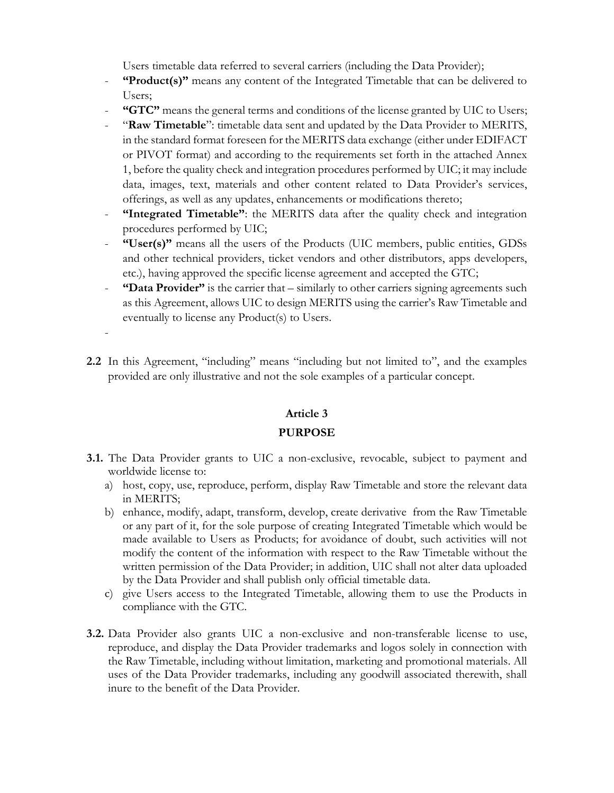Users timetable data referred to several carriers (including the Data Provider);

- "Product(s)" means any content of the Integrated Timetable that can be delivered to Users;
- **"GTC"** means the general terms and conditions of the license granted by UIC to Users;
- "Raw Timetable": timetable data sent and updated by the Data Provider to MERITS, in the standard format foreseen for the MERITS data exchange (either under EDIFACT or PIVOT format) and according to the requirements set forth in the attached Annex 1, before the quality check and integration procedures performed by UIC; it may include data, images, text, materials and other content related to Data Provider's services, offerings, as well as any updates, enhancements or modifications thereto;
- "Integrated Timetable": the MERITS data after the quality check and integration procedures performed by UIC;
- "User(s)" means all the users of the Products (UIC members, public entities, GDSs and other technical providers, ticket vendors and other distributors, apps developers, etc.), having approved the specific license agreement and accepted the GTC;
- **"Data Provider"** is the carrier that similarly to other carriers signing agreements such as this Agreement, allows UIC to design MERITS using the carrier's Raw Timetable and eventually to license any Product(s) to Users.
- 

-

**2.2** In this Agreement, "including" means "including but not limited to", and the examples provided are only illustrative and not the sole examples of a particular concept.

# **Article 3**

# **PURPOSE**

- **3.1.** The Data Provider grants to UIC a non-exclusive, revocable, subject to payment and worldwide license to:
	- a) host, copy, use, reproduce, perform, display Raw Timetable and store the relevant data in MERITS;
	- b) enhance, modify, adapt, transform, develop, create derivative from the Raw Timetable or any part of it, for the sole purpose of creating Integrated Timetable which would be made available to Users as Products; for avoidance of doubt, such activities will not modify the content of the information with respect to the Raw Timetable without the written permission of the Data Provider; in addition, UIC shall not alter data uploaded by the Data Provider and shall publish only official timetable data.
	- c) give Users access to the Integrated Timetable, allowing them to use the Products in compliance with the GTC.
- **3.2.** Data Provider also grants UIC a non-exclusive and non-transferable license to use, reproduce, and display the Data Provider trademarks and logos solely in connection with the Raw Timetable, including without limitation, marketing and promotional materials. All uses of the Data Provider trademarks, including any goodwill associated therewith, shall inure to the benefit of the Data Provider.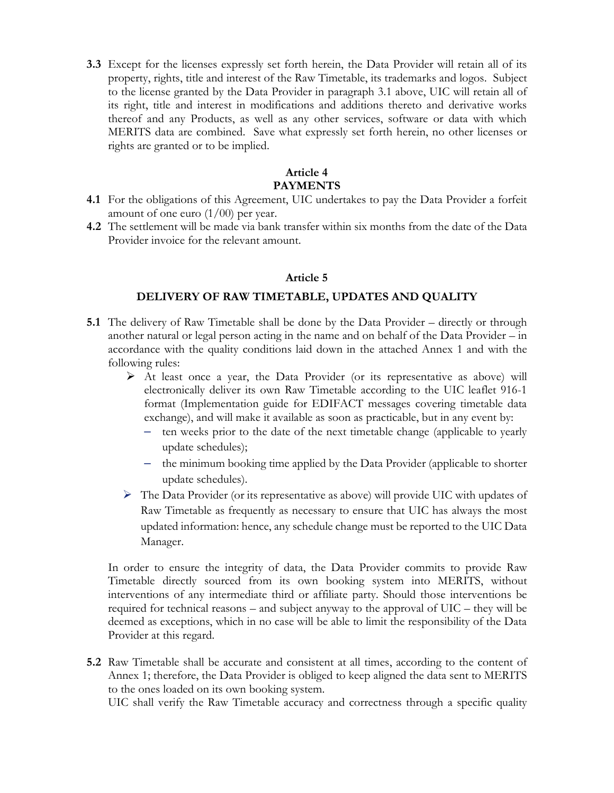**3.3** Except for the licenses expressly set forth herein, the Data Provider will retain all of its property, rights, title and interest of the Raw Timetable, its trademarks and logos. Subject to the license granted by the Data Provider in paragraph 3.1 above, UIC will retain all of its right, title and interest in modifications and additions thereto and derivative works thereof and any Products, as well as any other services, software or data with which MERITS data are combined. Save what expressly set forth herein, no other licenses or rights are granted or to be implied.

### **Article 4 PAYMENTS**

- **4.1** For the obligations of this Agreement, UIC undertakes to pay the Data Provider a forfeit amount of one euro  $(1/00)$  per year.
- **4.2** The settlement will be made via bank transfer within six months from the date of the Data Provider invoice for the relevant amount.

### **Article 5**

#### **DELIVERY OF RAW TIMETABLE, UPDATES AND QUALITY**

- **5.1** The delivery of Raw Timetable shall be done by the Data Provider directly or through another natural or legal person acting in the name and on behalf of the Data Provider – in accordance with the quality conditions laid down in the attached Annex 1 and with the following rules:
	- ➢ At least once a year, the Data Provider (or its representative as above) will electronically deliver its own Raw Timetable according to the UIC leaflet 916-1 format (Implementation guide for EDIFACT messages covering timetable data exchange), and will make it available as soon as practicable, but in any event by:
		- ten weeks prior to the date of the next timetable change (applicable to yearly update schedules);
		- the minimum booking time applied by the Data Provider (applicable to shorter update schedules).
	- ➢ The Data Provider (or its representative as above) will provide UIC with updates of Raw Timetable as frequently as necessary to ensure that UIC has always the most updated information: hence, any schedule change must be reported to the UIC Data Manager.

In order to ensure the integrity of data, the Data Provider commits to provide Raw Timetable directly sourced from its own booking system into MERITS, without interventions of any intermediate third or affiliate party. Should those interventions be required for technical reasons – and subject anyway to the approval of UIC – they will be deemed as exceptions, which in no case will be able to limit the responsibility of the Data Provider at this regard.

**5.2** Raw Timetable shall be accurate and consistent at all times, according to the content of Annex 1; therefore, the Data Provider is obliged to keep aligned the data sent to MERITS to the ones loaded on its own booking system.

UIC shall verify the Raw Timetable accuracy and correctness through a specific quality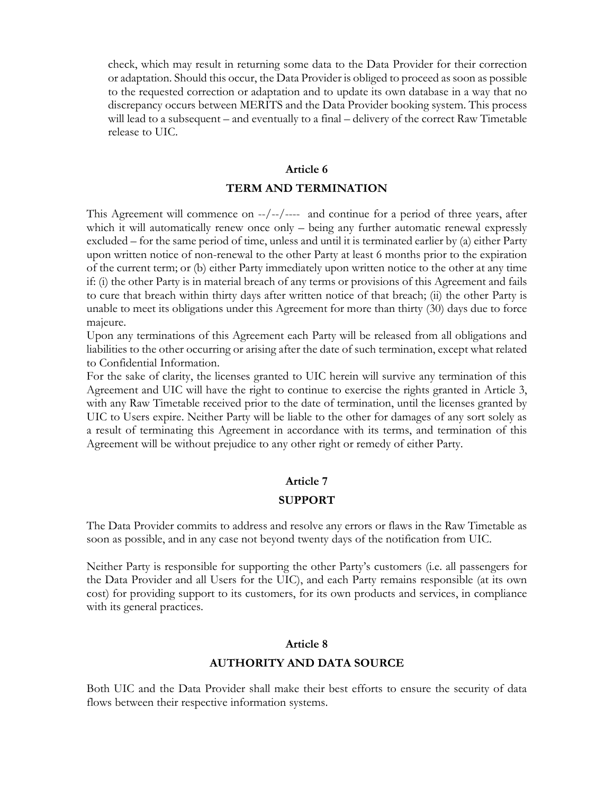check, which may result in returning some data to the Data Provider for their correction or adaptation. Should this occur, the Data Provider is obliged to proceed as soon as possible to the requested correction or adaptation and to update its own database in a way that no discrepancy occurs between MERITS and the Data Provider booking system. This process will lead to a subsequent – and eventually to a final – delivery of the correct Raw Timetable release to UIC.

#### **Article 6**

#### **TERM AND TERMINATION**

This Agreement will commence on --/--/---- and continue for a period of three years, after which it will automatically renew once only – being any further automatic renewal expressly excluded – for the same period of time, unless and until it is terminated earlier by (a) either Party upon written notice of non-renewal to the other Party at least 6 months prior to the expiration of the current term; or (b) either Party immediately upon written notice to the other at any time if: (i) the other Party is in material breach of any terms or provisions of this Agreement and fails to cure that breach within thirty days after written notice of that breach; (ii) the other Party is unable to meet its obligations under this Agreement for more than thirty (30) days due to force majeure.

Upon any terminations of this Agreement each Party will be released from all obligations and liabilities to the other occurring or arising after the date of such termination, except what related to Confidential Information.

For the sake of clarity, the licenses granted to UIC herein will survive any termination of this Agreement and UIC will have the right to continue to exercise the rights granted in Article 3, with any Raw Timetable received prior to the date of termination, until the licenses granted by UIC to Users expire. Neither Party will be liable to the other for damages of any sort solely as a result of terminating this Agreement in accordance with its terms, and termination of this Agreement will be without prejudice to any other right or remedy of either Party.

#### **Article 7**

#### **SUPPORT**

The Data Provider commits to address and resolve any errors or flaws in the Raw Timetable as soon as possible, and in any case not beyond twenty days of the notification from UIC.

Neither Party is responsible for supporting the other Party's customers (i.e. all passengers for the Data Provider and all Users for the UIC), and each Party remains responsible (at its own cost) for providing support to its customers, for its own products and services, in compliance with its general practices.

# **Article 8**

### **AUTHORITY AND DATA SOURCE**

Both UIC and the Data Provider shall make their best efforts to ensure the security of data flows between their respective information systems.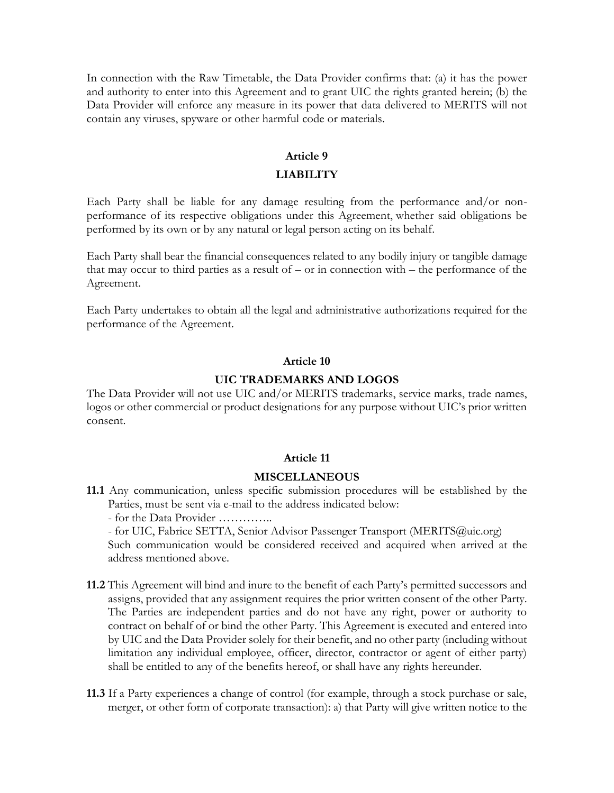In connection with the Raw Timetable, the Data Provider confirms that: (a) it has the power and authority to enter into this Agreement and to grant UIC the rights granted herein; (b) the Data Provider will enforce any measure in its power that data delivered to MERITS will not contain any viruses, spyware or other harmful code or materials.

#### **Article 9**

#### **LIABILITY**

Each Party shall be liable for any damage resulting from the performance and/or nonperformance of its respective obligations under this Agreement, whether said obligations be performed by its own or by any natural or legal person acting on its behalf.

Each Party shall bear the financial consequences related to any bodily injury or tangible damage that may occur to third parties as a result of  $-$  or in connection with  $-$  the performance of the Agreement.

Each Party undertakes to obtain all the legal and administrative authorizations required for the performance of the Agreement.

#### **Article 10**

### **UIC TRADEMARKS AND LOGOS**

The Data Provider will not use UIC and/or MERITS trademarks, service marks, trade names, logos or other commercial or product designations for any purpose without UIC's prior written consent.

#### **Article 11**

#### **MISCELLANEOUS**

- **11.1** Any communication, unless specific submission procedures will be established by the Parties, must be sent via e-mail to the address indicated below:
	- for the Data Provider …………..
	- for UIC, Fabrice SETTA, Senior Advisor Passenger Transport (MERITS@uic.org)

Such communication would be considered received and acquired when arrived at the address mentioned above.

- **11.2** This Agreement will bind and inure to the benefit of each Party's permitted successors and assigns, provided that any assignment requires the prior written consent of the other Party. The Parties are independent parties and do not have any right, power or authority to contract on behalf of or bind the other Party. This Agreement is executed and entered into by UIC and the Data Provider solely for their benefit, and no other party (including without limitation any individual employee, officer, director, contractor or agent of either party) shall be entitled to any of the benefits hereof, or shall have any rights hereunder.
- **11.3** If a Party experiences a change of control (for example, through a stock purchase or sale, merger, or other form of corporate transaction): a) that Party will give written notice to the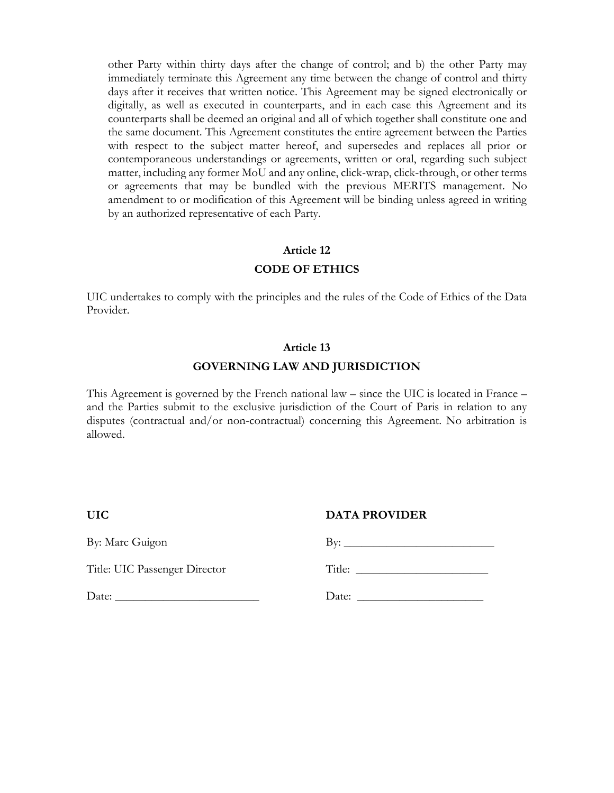other Party within thirty days after the change of control; and b) the other Party may immediately terminate this Agreement any time between the change of control and thirty days after it receives that written notice. This Agreement may be signed electronically or digitally, as well as executed in counterparts, and in each case this Agreement and its counterparts shall be deemed an original and all of which together shall constitute one and the same document. This Agreement constitutes the entire agreement between the Parties with respect to the subject matter hereof, and supersedes and replaces all prior or contemporaneous understandings or agreements, written or oral, regarding such subject matter, including any former MoU and any online, click-wrap, click-through, or other terms or agreements that may be bundled with the previous MERITS management. No amendment to or modification of this Agreement will be binding unless agreed in writing by an authorized representative of each Party.

#### **Article 12**

### **CODE OF ETHICS**

UIC undertakes to comply with the principles and the rules of the Code of Ethics of the Data Provider.

#### **Article 13**

### **GOVERNING LAW AND JURISDICTION**

This Agreement is governed by the French national law – since the UIC is located in France – and the Parties submit to the exclusive jurisdiction of the Court of Paris in relation to any disputes (contractual and/or non-contractual) concerning this Agreement. No arbitration is allowed.

### **UIC DATA PROVIDER**

| By: Marc Guigon               | Bv:    |
|-------------------------------|--------|
| Title: UIC Passenger Director | Title: |
| Date:                         | Date:  |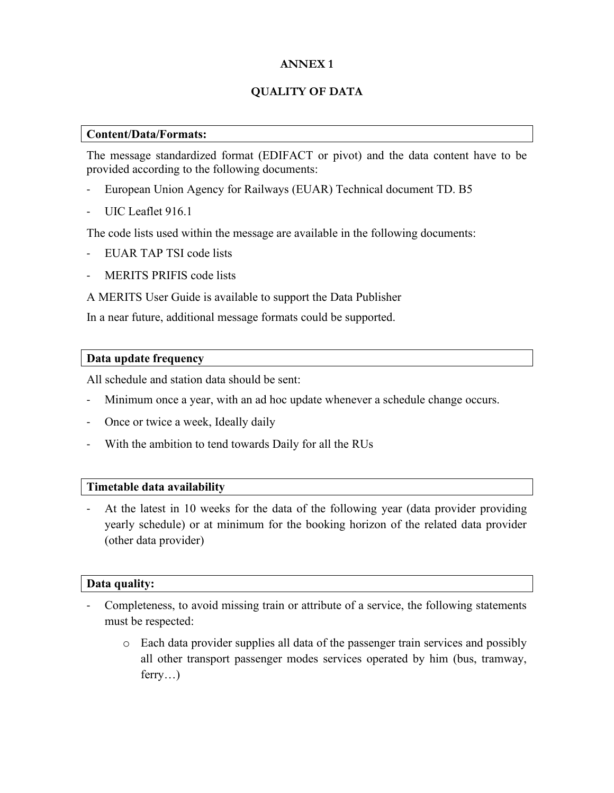### **ANNEX 1**

# **QUALITY OF DATA**

### **Content/Data/Formats:**

The message standardized format (EDIFACT or pivot) and the data content have to be provided according to the following documents:

- European Union Agency for Railways (EUAR) Technical document TD. B5
- UIC Leaflet 916.1

The code lists used within the message are available in the following documents:

- EUAR TAP TSI code lists
- MERITS PRIFIS code lists
- A MERITS User Guide is available to support the Data Publisher

In a near future, additional message formats could be supported.

### **Data update frequency**

All schedule and station data should be sent:

- Minimum once a year, with an ad hoc update whenever a schedule change occurs.
- Once or twice a week, Ideally daily
- With the ambition to tend towards Daily for all the RUs

### **Timetable data availability**

At the latest in 10 weeks for the data of the following year (data provider providing yearly schedule) or at minimum for the booking horizon of the related data provider (other data provider)

### **Data quality:**

- Completeness, to avoid missing train or attribute of a service, the following statements must be respected:
	- o Each data provider supplies all data of the passenger train services and possibly all other transport passenger modes services operated by him (bus, tramway, ferry…)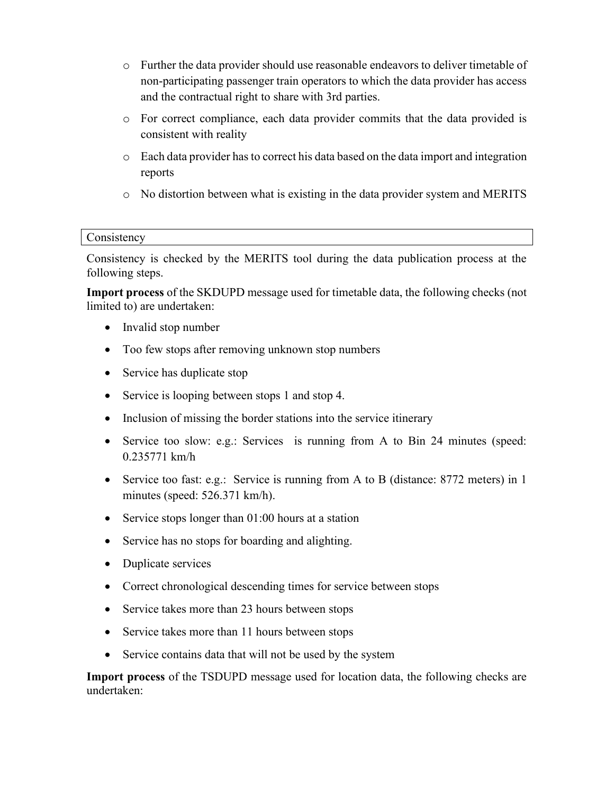- o Further the data provider should use reasonable endeavors to deliver timetable of non-participating passenger train operators to which the data provider has access and the contractual right to share with 3rd parties.
- o For correct compliance, each data provider commits that the data provided is consistent with reality
- $\circ$  Each data provider has to correct his data based on the data import and integration reports
- o No distortion between what is existing in the data provider system and MERITS

### Consistency

Consistency is checked by the MERITS tool during the data publication process at the following steps.

**Import process** of the SKDUPD message used for timetable data, the following checks (not limited to) are undertaken:

- Invalid stop number
- Too few stops after removing unknown stop numbers
- Service has duplicate stop
- Service is looping between stops 1 and stop 4.
- Inclusion of missing the border stations into the service itinerary
- Service too slow: e.g.: Services is running from A to Bin 24 minutes (speed: 0.235771 km/h
- Service too fast: e.g.: Service is running from A to B (distance: 8772 meters) in 1 minutes (speed: 526.371 km/h).
- Service stops longer than 01:00 hours at a station
- Service has no stops for boarding and alighting.
- Duplicate services
- Correct chronological descending times for service between stops
- Service takes more than 23 hours between stops
- Service takes more than 11 hours between stops
- Service contains data that will not be used by the system

**Import process** of the TSDUPD message used for location data, the following checks are undertaken: